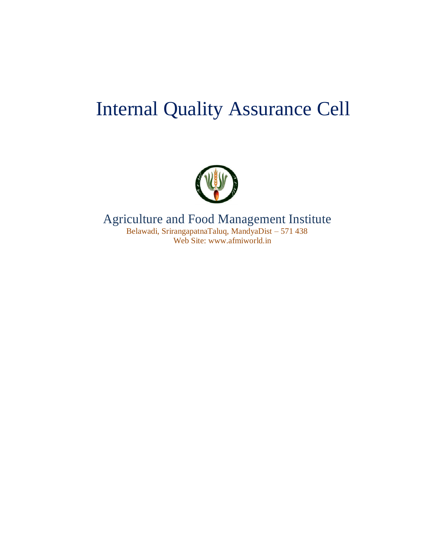### Internal Quality Assurance Cell



Agriculture and Food Management Institute Belawadi, SrirangapatnaTaluq, MandyaDist – 571 438 Web Site: www.afmiworld.in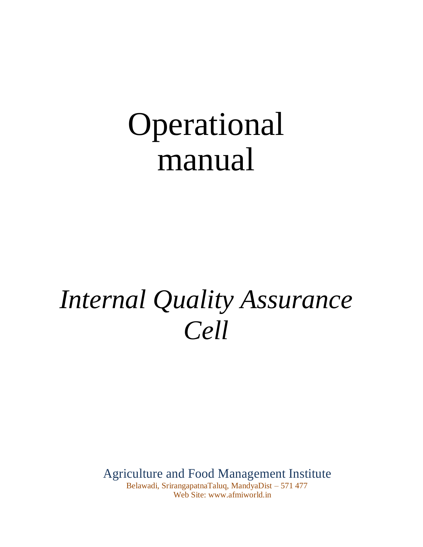# Operational manual

## *Internal Quality Assurance Cell*

Agriculture and Food Management Institute

Belawadi, SrirangapatnaTaluq, MandyaDist – 571 477 Web Site: www.afmiworld.in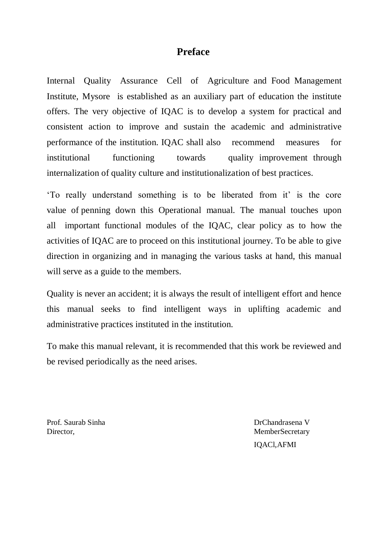#### **Preface**

Internal Quality Assurance Cell of Agriculture and Food Management Institute, Mysore is established as an auxiliary part of education the institute offers. The very objective of IQAC is to develop a system for practical and consistent action to improve and sustain the academic and administrative performance of the institution. IQAC shall also recommend measures for institutional functioning towards quality improvement through internalization of quality culture and institutionalization of best practices.

'To really understand something is to be liberated from it' is the core value of penning down this Operational manual. The manual touches upon all important functional modules of the IQAC, clear policy as to how the activities of IQAC are to proceed on this institutional journey. To be able to give direction in organizing and in managing the various tasks at hand, this manual will serve as a guide to the members.

Quality is never an accident; it is always the result of intelligent effort and hence this manual seeks to find intelligent ways in uplifting academic and administrative practices instituted in the institution.

To make this manual relevant, it is recommended that this work be reviewed and be revised periodically as the need arises.

Prof. Saurab Sinha DrChandrasena V Director, MemberSecretary

IQACl,AFMI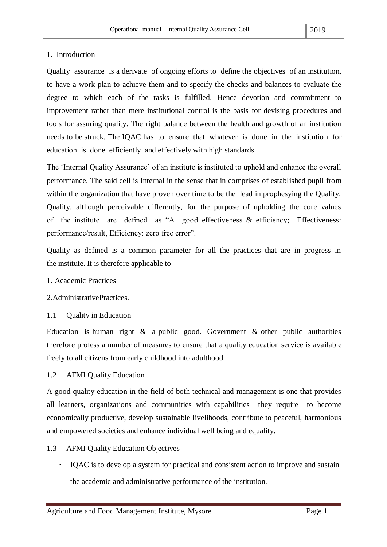#### 1. Introduction

Quality assurance is a derivate of ongoing efforts to define the objectives of an institution, to have a work plan to achieve them and to specify the checks and balances to evaluate the degree to which each of the tasks is fulfilled. Hence devotion and commitment to improvement rather than mere institutional control is the basis for devising procedures and tools for assuring quality. The right balance between the health and growth of an institution needs to be struck. The IQAC has to ensure that whatever is done in the institution for education is done efficiently and effectively with high standards.

The 'Internal Quality Assurance' of an institute is instituted to uphold and enhance the overall performance. The said cell is Internal in the sense that in comprises of established pupil from within the organization that have proven over time to be the lead in prophesying the Quality. Quality, although perceivable differently, for the purpose of upholding the core values of the institute are defined as "A good effectiveness & efficiency; Effectiveness: performance/result, Efficiency: zero free error".

Quality as defined is a common parameter for all the practices that are in progress in the institute. It is therefore applicable to

- 1. Academic Practices
- 2.AdministrativePractices.
- 1.1 Quality in Education

Education is human right  $\&$  a public good. Government  $\&$  other public authorities therefore profess a number of measures to ensure that a quality education service is available freely to all citizens from early childhood into adulthood.

1.2 AFMI Quality Education

A good quality education in the field of both technical and management is one that provides all learners, organizations and communities with capabilities they require to become economically productive, develop sustainable livelihoods, contribute to peaceful, harmonious and empowered societies and enhance individual well being and equality.

- 1.3 AFMI Quality Education Objectives
	- IQAC is to develop a system for practical and consistent action to improve and sustain the academic and administrative performance of the institution.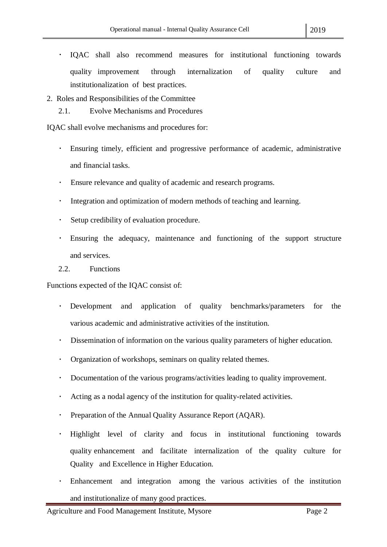- IQAC shall also recommend measures for institutional functioning towards  $\ddot{\phantom{0}}$ quality improvement through internalization of quality culture and institutionalization of best practices.
- 2. Roles and Responsibilities of the Committee
	- 2.1. Evolve Mechanisms and Procedures

IQAC shall evolve mechanisms and procedures for:

- $\bullet$  . Ensuring timely, efficient and progressive performance of academic, administrative and financial tasks.
- Ensure relevance and quality of academic and research programs.
- Integration and optimization of modern methods of teaching and learning.  $\bullet$  .
- Setup credibility of evaluation procedure.  $\bullet$
- Ensuring the adequacy, maintenance and functioning of the support structure  $\bullet$  . and services.

#### 2.2. Functions

Functions expected of the IQAC consist of:

- Development and application of quality benchmarks/parameters for the various academic and administrative activities of the institution.
- $\bullet$  . Dissemination of information on the various quality parameters of higher education.
- $\bullet$  . Organization of workshops, seminars on quality related themes.
- $\bullet$  . Documentation of the various programs/activities leading to quality improvement.
- $\bullet$ Acting as a nodal agency of the institution for quality-related activities.
- Preparation of the Annual Quality Assurance Report (AQAR).  $\bullet$  .
- $\bullet$ Highlight level of clarity and focus in institutional functioning towards quality enhancement and facilitate internalization of the quality culture for Quality and Excellence in Higher Education.
- Enhancement and integration among the various activities of the institution and institutionalize of many good practices.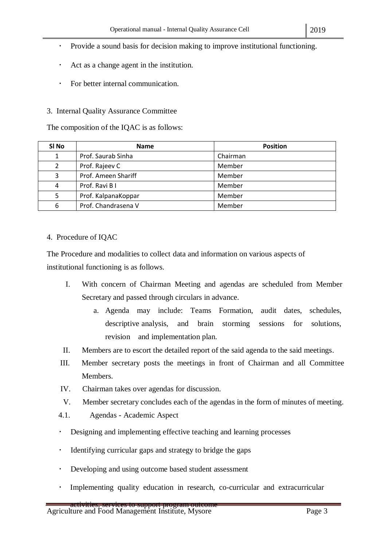- $\bullet$ Provide a sound basis for decision making to improve institutional functioning.
- Act as a change agent in the institution.  $\bullet$
- $\ddot{\phantom{0}}$ For better internal communication.

#### 3. Internal Quality Assurance Committee

The composition of the IQAC is as follows:

| SI No          | <b>Name</b>         | <b>Position</b> |
|----------------|---------------------|-----------------|
| 1              | Prof. Saurab Sinha  | Chairman        |
| $\overline{2}$ | Prof. Rajeev C      | Member          |
| 3              | Prof. Ameen Shariff | Member          |
| 4              | Prof. Ravi B I      | Member          |
| 5              | Prof. KalpanaKoppar | Member          |
| 6              | Prof. Chandrasena V | Member          |

#### 4. Procedure of IQAC

The Procedure and modalities to collect data and information on various aspects of institutional functioning is as follows.

- I. With concern of Chairman Meeting and agendas are scheduled from Member Secretary and passed through circulars in advance.
	- a. Agenda may include: Teams Formation, audit dates, schedules, descriptive analysis, and brain storming sessions for solutions, revision and implementation plan.
- II. Members are to escort the detailed report of the said agenda to the said meetings.
- III. Member secretary posts the meetings in front of Chairman and all Committee Members.
- IV. Chairman takes over agendas for discussion.
- V. Member secretary concludes each of the agendas in the form of minutes of meeting.
- 4.1. Agendas Academic Aspect
- $\bullet$  . Designing and implementing effective teaching and learning processes
- . Identifying curricular gaps and strategy to bridge the gaps
- Developing and using outcome based student assessment
- Implementing quality education in research, co-curricular and extracurricular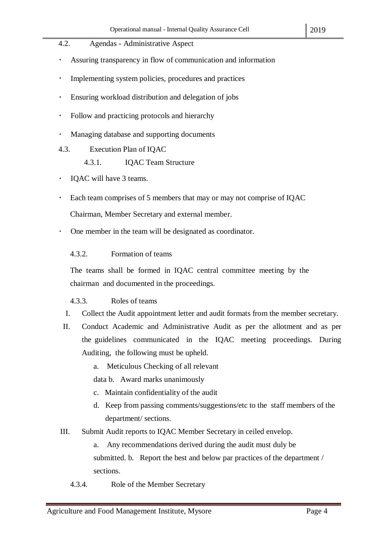- 4.2. Agendas Administrative Aspect
- Assuring transparency in flow of communication and information
- Implementing system policies, procedures and practices
- Ensuring workload distribution and delegation of jobs
- Follow and practicing protocols and hierarchy
- Managing database and supporting documents
- 4.3. Execution Plan of IQAC
	- 4.3.1. IQAC Team Structure
- $\cdot$ IQAC will have 3 teams.
- Each team comprises of 5 members that may or may not comprise of IQAC

Chairman, Member Secretary and external member.

- One member in the team will be designated as coordinator.
	- 4.3.2. Formation of teams

The teams shall be formed in IQAC central committee meeting by the chairman and documented in the proceedings.

- 4.3.3. Roles of teams
- I. Collect the Audit appointment letter and audit formats from the member secretary.
- II. Conduct Academic and Administrative Audit as per the allotment and as per the guidelines communicated in the IQAC meeting proceedings. During Auditing, the following must be upheld.
	- a. Meticulous Checking of all relevant
	- data b. Award marks unanimously
	- c. Maintain confidentiality of the audit
	- d. Keep from passing comments/suggestions/etc to the staff members of the department/ sections.
- III. Submit Audit reports to IQAC Member Secretary in ceiled envelop.
	- a. Any recommendations derived during the audit must duly be submitted. b. Report the best and below par practices of the department / sections.
	- 4.3.4. Role of the Member Secretary